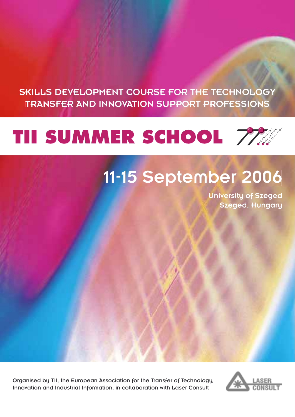SKILLS DEVELOPMENT COURSE FOR THE TECHNOLOGY TRANSFER AND INNOVATION SUPPORT PROFESSIONS



## 11-15 September 2006

University of Szeged Szeged, Hungary

Organised by TII, the European Association for the Transfer of Technology, Innovation and Industrial Information, in collaboration with Laser Consult

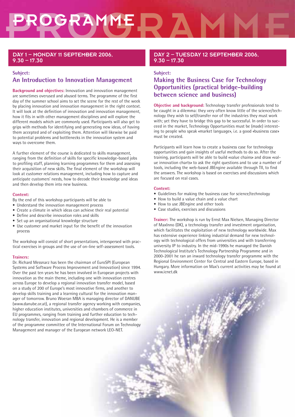# PROGRAMME

#### DAY 1 – MONDAY 11 SEPTEMBER 2006,  $9.30 - 17.30$

#### **Subject:**

#### **An Introduction to Innovation Management**

**Background and objectives:** Innovation and innovation management are sometimes overused and abused terms. The programme of the first day of the summer school aims to set the scene for the rest of the week by placing innovation and innovation management in the right context. It will look at the definition of innovation and innovation management, how it fits in with other management disciplines and will explore the different models which are commonly used. Participants will also get to grips with methods for identifying and generating new ideas, of having them accepted and of exploiting them. Attention will likewise be paid to potential problems and bottlenecks in the innovation system and ways to overcome them.

A further element of the course is dedicated to skills management, ranging from the definition of skills for specific knowledge-based jobs to profiling staff, planning learning programmes for them and assessing their acquisition of new skills. The final element of the workshop will look at customer relations management, including how to capture and anticipate customers' needs, how to decode their knowledge and ideas and then develop them into new business.

#### **Content:**

By the end of this workshop participants will be able to

- Understand the innovation management process
- Create a climate in which ideas can achieve their real potential
- Define and describe innovation roles and skills
- Set up an organisational knowledge structure
- Use customer and market input for the benefit of the innovation process

The workshop will consist of short presentations, interspersed with practical exercises in groups and the use of on-line self-assessment tools.

#### **Trainers:**

Dr. Richard Messnarz has been the chairman of EuroSPI (European Systems and Software Process Improvement and Innovation) since 1994. Over the past ten years he has been involved in European projects with innovation as the main theme, including one with innovation centres across Europe to develop a regional innovation transfer model, based on a study of 200 of Europe's most innovative firms, and another to develop skills training and a learning cultural for the innovation manager of tomorrow. Bruno Woeran MBA is managing director of DANUBE (www.danube.or.at), a regional transfer agency working with companies, higher education institutes, universities and chambers of commerce in EU programmes, ranging from training and further education to technology transfer, innovation and regional development. He is a member of the programme committee of the International Forum on Technology Management and manager of the European network LEO-NET.

#### DAY 2 – TUESDAY 12 SEPTEMBER 2006,  $9.30 - 17.30$

#### **Subject:**

#### **Making the Business Case for Technology Opportunities (practical bridge-building between science and business)**

**Objective and background:** Technology transfer professionals tend to be caught in a dilemma: they very often know little of the science/technology they wish to sell/transfer nor of the industries they must work with; yet they have to bridge this gap to be successful. In order to succeed in the market, Technology Opportunities must be (made) interesting to people who speak «market language», i.e. a good «business case» must be created.

Participants will learn how to create a business case for technology opportunities and gain insights of useful methods to do so. After the training, participants will be able to build «value chains» and draw «value innovation charts» to ask the right questions and to use a number of tools, including the web-based JBEngine available through TII, to find the answers. The workshop is based on exercises and discussions which are focused on real cases.

#### **Content:**

- Guidelines for making the business case for science/technology
- How to build a value chain and a value chart
- How to use JBEngine and other tools
- Case studies, exercises and discussions

**Trainer:** The workshop is run by Ernst Max Nielsen, Managing Director of MaxInno (DK), a technology transfer and investment organisation, which facilitates the exploitation of new technology worldwide. Max has extensive experience linking industrial demand for new technology with technological offers from universities and with transferring university IP to industry. In the mid-1990s he managed the Danish Technological Institute's Technology Partnership Programme and in 2000-2001 he ran an inward technology transfer programme with the Regional Environment Center for Central and Eastern Europe, based in Hungary. More information on Max's current activities may be found at www.icnet.dk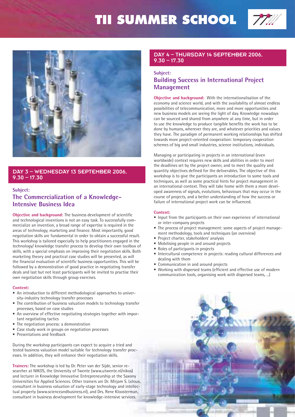### TII SUMMER SCHOOL





#### DAY 3 – WEDNESDAY 13 SEPTEMBER 2006,  $9.30 - 17.30$

#### **Subject: The Commercialization of a Knowledge-Intensive Business Idea**

**Objective and background:** The business development of scientific and technological inventions is not an easy task. To successfully commercialize an invention, a broad range of expertise is required in the areas of technology, marketing and finance. Most importantly, good negotiation skills are fundamental in order to obtain a successful result. This workshop is tailored especially to help practitioners engaged in the technology/ knowledge transfer process to develop their own toolbox of skills, with a special emphasis on improving their negotiation skills. Both marketing theory and practical case studies will be presented, as will the financial evaluation of scientific business opportunities. This will be followed by a demonstration of good practice in negotiating transfer deals and last but not least participants will be invited to practise their own negotiation skills through group exercises.

#### **Content:**

- An introduction to different methodological approaches to university-industry technology transfer processes
- The contribution of business valuation models to technology transfer processes, based on case studies
- An overview of effective negotiating strategies together with important negotiating tactics
- The negotiation process: a demonstration
- Case study work in groups on negotiation processes
- Presentations and feedback

During the workshop participants can expect to acquire a tried and tested business valuation model suitable for technology transfer processes. In addition, they will enhance their negotiation skills.

**Trainers:** The workshop is led by Dr. Peter van der Sijde, senior researcher at NIKOS, the University of Twente (www.utwente.nl/nikos) and lecturer in Knowledge Innovative Entrepreneurship at the Saxony Universities for Applied Sciences. Other trainers are Dr. Mirjam S. Leloux, consultant in business valuation of early-stage technology and intellectual property (www.scienceandbusiness.nl), and Drs. Rene Kloosterman, consultant in business development for knowledge-intensive services.

#### DAY 4 – THURSDAY 14 SEPTEMBER 2006,  $9.30 - 17.30$

#### **Subject:**

#### **Building Success in International Project Management**

**Objective and background:** With the internationalisation of the economy and science world, and with the availability of almost endless possibilities of telecommunication, more and more opportunities and new business models are seeing the light of day. Knowledge nowadays can be sourced and shared from anywhere at any time, but in order to use the knowledge to produce tangible benefits the work has to be done by humans, wherever they are, and whatever priorities and values they have. The paradigm of permanent working relationships has shifted towards more project-oriented cooperation: temporary cooperation schemes of big and small industries, science institutions, individuals.

Managing or participating in projects in an international (even worldwide) context requires new skills and abilities in order to meet the deadlines set by the project owner, and to meet the quality and quantity objectives defined for the deliverables. The objective of this workshop is to give the participants an introduction to some tools and techniques, as well as some practical hints for project management in an international context. They will take home with them a more developed awareness of signals, evolutions, behaviours that may occur in the course of projects, and a better understanding of how the success or failure of international project work can be influenced.

#### **Content:**

- Input from the participants on their own experience of international or inter-company projects
- The process of project management: some aspects of project management methodology, tools and techniques (an overview)
- Project charter, stakeholders' analysis
- Mobilising people in and around projects
- Roles of participants in projects
- Intercultural competence in projects: reading cultural differences and dealing with them
- Communication in and around projects
- Working with dispersed teams (efficient and effective use of modern communication tools, organising work with dispersed teams, ...)

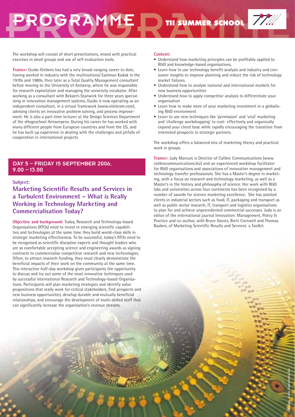### PROGRAMME **TII SUMMER SCHOOL**

The workshop will consist of short presentations, mixed with practical exercises in small groups and use of self-evaluation tools.

**Trainer:** Guido Giebens has had a very broad-ranging career to date, having worked in industry with the multinational Eastman Kodak in the 1970s and 1980s, then later as a Total Quality Management consultant before moving to the University of Antwerp, where he was responsible for research exploitation and managing the university incubator. After working as a consultant with Bekaert-Stanwick for three years specialising in innovation management systems, Guido is now operating as an independent consultant, in a virtual framework (www.viisiteam.com), advising clients on innovative problem solving, and process improvement. He is also a part-time lecturer at the Design Sciences Department of the «Hogeschool Antwerpen». During his career he has worked with many different people from European countries and from the US, and he has built up experience in dealing with the challenges and pitfalls of cooperation in international projects.

#### DAY 5 – FRIDAY 15 SEPTEMBER 2006,  $9.00 - 13.00$

#### **Subject:**

**Marketing Scientific Results and Services in a Turbulent Environment – What is Really Working in Technology Marketing and Commercialisation Today?**

**Objective and background:** Today, Research and Technology-based Organisations (RTOs) need to invest in emerging scientific capabilities and technologies at the same time they build world-class skills in strategic marketing effectiveness. To be successful, today's RTOs need to be recognised as scientific discipline experts and thought leaders who are as comfortable accepting science and engineering awards as signing contracts to commercialise competitive research and new technologies. Often, to attract research funding, they must clearly demonstrate the beneficial impacts of their work on the community at the same time. This interactive half-day workshop gives participants the opportunity to discuss and try out some of the most innovative techniques used by successful international Research and Technology-based Organisations. Participants will plan marketing strategies and identify value propositions that really work for critical stakeholders, find prospects and new business opportunities, develop durable and mutually beneficial relationships, and encourage the development of multi-skilled staff that can significantly increase the organisation's revenue streams.

#### **Content:**

- Understand how marketing principles can be profitably applied to R&D and knowledge-based organisations,
- Learn how to use technology benefit analysis and industry and consumer insights to improve planning and reduce the risk of technology market failures.
- Understand how to analyse national and international markets for new business opportunities
- Understand how to apply competitor analysis to differentiate your organisation
- Learn how to make more of your marketing investment in a globalising R&D environment
- Learn to use new techniques like 'permission' and 'viral' marketing and 'challenge workshopping' to cost- effectively and organically expand your client base while rapidly encouraging the transition from interested prospects to strategic partners.

The workshop offers a balanced mix of marketing theory and practical work in groups.

**Trainer:** Judy Marcure is Director of Calibre Communications (www. calibrecommunications.biz) and an experienced workshop facilitator for R&D organisations and associations of innovation management and technology transfer professionals. She has a Master's degree in marketing, with a focus on research and technology marketing, as well as a Master's in the history and philosophy of science. Her work with R&D labs and universities across four continents has been recognised by a number of awards for science marketing excellence. She has assisted clients in industrial sectors such as food, IT, packaging and transport as well as public sector research, IT, transport and logistics organisations to plan for and achieve unprecedented commercial successes. Judy is an editor of the international journal Innovation: Management, Policy & Practice and co-author, with Bruce Davies, Brett Cornwell and Thomas Baaken, of Marketing Scientific Results and Services: a Toolkit.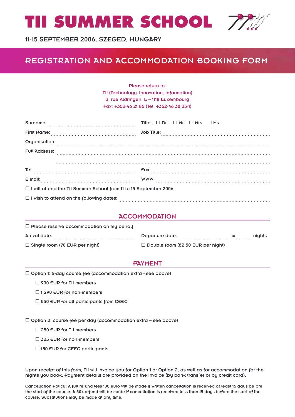## **TII SUMMER SCHOOL**



11-15 SEPTEMBER 2006, SZEGED, HUNGARY

#### REGISTRATION AND ACCOMMODATION BOOKING FORM

Please return to: TII (Technology, Innovation, Information) 3, rue Aldringen, L – 1118 Luxembourg Fax: +352-46 21 85 (Tel. +352-46 30 35-1)

| Surname:                                                                                                         |                   |  |  | Title: $\square$ Dr. $\square$ Mr $\square$ Mrs $\square$ Ms |  |
|------------------------------------------------------------------------------------------------------------------|-------------------|--|--|--------------------------------------------------------------|--|
| <b>First Name:</b>                                                                                               | <b>Job Title:</b> |  |  |                                                              |  |
| Organisation: www.communication.com/www.communications.com/www.communications.com/www.communications.com/www.com |                   |  |  |                                                              |  |
| <b>Full Address:</b>                                                                                             |                   |  |  |                                                              |  |
|                                                                                                                  |                   |  |  |                                                              |  |
| Tel:                                                                                                             | Fax:              |  |  |                                                              |  |
| E-mail:                                                                                                          |                   |  |  |                                                              |  |
| $\Box$ I will attend the TII Summer School from 11 to 15 September 2006.                                         |                   |  |  |                                                              |  |
| $\Box$ I wish to attend on the following dates:                                                                  |                   |  |  |                                                              |  |

#### **ACCOMMODATION**

| $\Box$ Please reserve accommodation on my behalf |                                          |          |        |  |  |
|--------------------------------------------------|------------------------------------------|----------|--------|--|--|
| Arrival date:                                    | Departure date:                          | $=$<br>. | nights |  |  |
| $\Box$ Single room (70 EUR per night)            | $\Box$ Double room (82.50 EUR per night) |          |        |  |  |

#### **PAYMENT**

 $\Box$  Option 1: 5-day course fee (accommodation extra - see above)

 $\square$  990 EUR for TII members

 $\square$  1.290 EUR for non-members

 $\square$  550 EUR for all participants from CEEC

 $\Box$  Option 2: course fee per day (accommodation extra – see above)

 $\square$  250 EUR for TII members

 $\square$  325 EUR for non-members

 $\square$  150 EUR for CEEC participants

Upon receipt of this form. TII will invoice you for Option 1 or Option 2, as well as for accommodation for the nights you book. Payment details are provided on the invoice (by bank transfer or by credit card).

Cancellation Policy: A full refund less 100 euro will be made if written cancellation is received at least 15 days before the start of the course. A 50% refund will be made if cancellation is received less than 15 days before the start of the course. Substitutions may be made at any time.